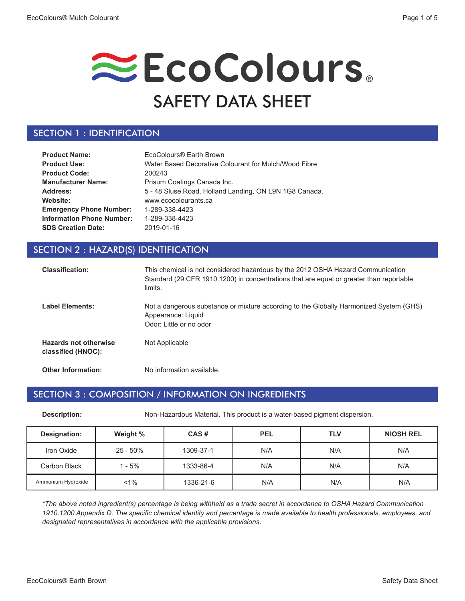# EcoColours. SAFETY DATA SHEET

### SECTION 1 : IDENTIFICATION

| <b>Product Name:</b>             | EcoColours® Earth Brown                                |
|----------------------------------|--------------------------------------------------------|
| <b>Product Use:</b>              | Water Based Decorative Colourant for Mulch/Wood Fibre  |
| <b>Product Code:</b>             | 200243                                                 |
| <b>Manufacturer Name:</b>        | Prisum Coatings Canada Inc.                            |
| Address:                         | 5 - 48 Sluse Road, Holland Landing, ON L9N 1G8 Canada. |
| Website:                         | www.ecocolourants.ca                                   |
| <b>Emergency Phone Number:</b>   | 1-289-338-4423                                         |
| <b>Information Phone Number:</b> | 1-289-338-4423                                         |
| <b>SDS Creation Date:</b>        | 2019-01-16                                             |

#### SECTION 2 : HAZARD(S) IDENTIFICATION

| <b>Classification:</b>                             | This chemical is not considered hazardous by the 2012 OSHA Hazard Communication<br>Standard (29 CFR 1910.1200) in concentrations that are equal or greater than reportable<br>limits. |
|----------------------------------------------------|---------------------------------------------------------------------------------------------------------------------------------------------------------------------------------------|
| <b>Label Elements:</b>                             | Not a dangerous substance or mixture according to the Globally Harmonized System (GHS)<br>Appearance: Liquid<br>Odor: Little or no odor                                               |
| <b>Hazards not otherwise</b><br>classified (HNOC): | Not Applicable                                                                                                                                                                        |
| <b>Other Information:</b>                          | No information available.                                                                                                                                                             |

#### SECTION 3 : COMPOSITION / INFORMATION ON INGREDIENTS

**Description:** Non-Hazardous Material. This product is a water-based pigment dispersion.

| Designation:       | Weight %    | CAS#      | <b>PEL</b> | <b>TLV</b> | <b>NIOSH REL</b> |
|--------------------|-------------|-----------|------------|------------|------------------|
| Iron Oxide         | $25 - 50\%$ | 1309-37-1 | N/A        | N/A        | N/A              |
| Carbon Black       | $1 - 5%$    | 1333-86-4 | N/A        | N/A        | N/A              |
| Ammonium Hydroxide | $1\%$       | 1336-21-6 | N/A        | N/A        | N/A              |

*\*The above noted ingredient(s) percentage is being withheld as a trade secret in accordance to OSHA Hazard Communication 1910.1200 Appendix D. The specific chemical identity and percentage is made available to health professionals, employees, and designated representatives in accordance with the applicable provisions.*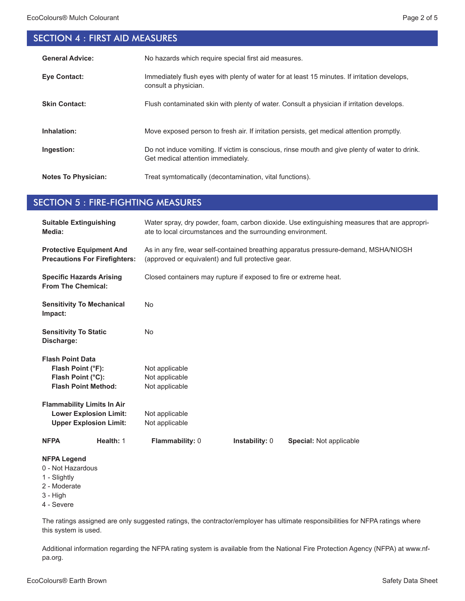## SECTION 4 : FIRST AID MEASURES

| <b>General Advice:</b>     | No hazards which require special first aid measures.                                                                                 |
|----------------------------|--------------------------------------------------------------------------------------------------------------------------------------|
| <b>Eve Contact:</b>        | Immediately flush eyes with plenty of water for at least 15 minutes. If irritation develops,<br>consult a physician.                 |
| <b>Skin Contact:</b>       | Flush contaminated skin with plenty of water. Consult a physician if irritation develops.                                            |
| Inhalation:                | Move exposed person to fresh air. If irritation persists, get medical attention promptly.                                            |
| Ingestion:                 | Do not induce vomiting. If victim is conscious, rinse mouth and give plenty of water to drink.<br>Get medical attention immediately. |
| <b>Notes To Physician:</b> | Treat symtomatically (decontamination, vital functions).                                                                             |

#### SECTION 5 : FIRE-FIGHTING MEASURES

| <b>Suitable Extinguishing</b><br>Media:                                                             | Water spray, dry powder, foam, carbon dioxide. Use extinguishing measures that are appropri-<br>ate to local circumstances and the surrounding environment. |  |  |
|-----------------------------------------------------------------------------------------------------|-------------------------------------------------------------------------------------------------------------------------------------------------------------|--|--|
| <b>Protective Equipment And</b><br><b>Precautions For Firefighters:</b>                             | As in any fire, wear self-contained breathing apparatus pressure-demand, MSHA/NIOSH<br>(approved or equivalent) and full protective gear.                   |  |  |
| <b>Specific Hazards Arising</b><br><b>From The Chemical:</b>                                        | Closed containers may rupture if exposed to fire or extreme heat.                                                                                           |  |  |
| <b>Sensitivity To Mechanical</b><br>Impact:                                                         | <b>No</b>                                                                                                                                                   |  |  |
| <b>Sensitivity To Static</b><br>Discharge:                                                          | <b>No</b>                                                                                                                                                   |  |  |
| <b>Flash Point Data</b><br>Flash Point (°F):<br>Flash Point (°C):<br><b>Flash Point Method:</b>     | Not applicable<br>Not applicable<br>Not applicable                                                                                                          |  |  |
| <b>Flammability Limits In Air</b><br><b>Lower Explosion Limit:</b><br><b>Upper Explosion Limit:</b> | Not applicable<br>Not applicable                                                                                                                            |  |  |
| Health: 1<br><b>NFPA</b>                                                                            | Flammability: 0<br>Instability: 0<br>Special: Not applicable                                                                                                |  |  |
| <b>NFPA Legend</b><br>0 - Not Hazardous<br>1 - Slightly<br>2 - Moderate<br>$3 - High$<br>4 - Severe |                                                                                                                                                             |  |  |

The ratings assigned are only suggested ratings, the contractor/employer has ultimate responsibilities for NFPA ratings where this system is used.

Additional information regarding the NFPA rating system is available from the National Fire Protection Agency (NFPA) at www.nfpa.org.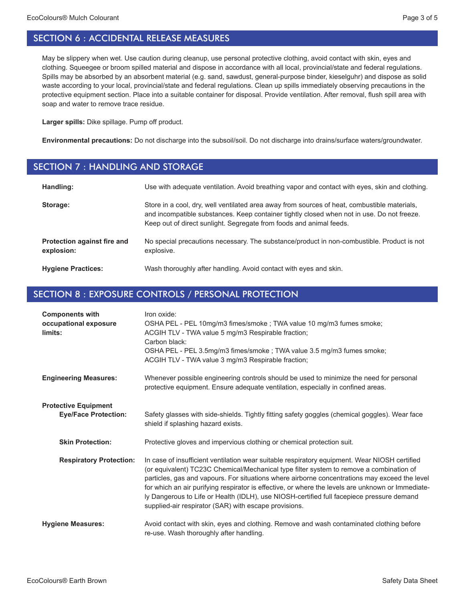May be slippery when wet. Use caution during cleanup, use personal protective clothing, avoid contact with skin, eyes and clothing. Squeegee or broom spilled material and dispose in accordance with all local, provincial/state and federal regulations. Spills may be absorbed by an absorbent material (e.g. sand, sawdust, general-purpose binder, kieselguhr) and dispose as solid waste according to your local, provincial/state and federal regulations. Clean up spills immediately observing precautions in the protective equipment section. Place into a suitable container for disposal. Provide ventilation. After removal, flush spill area with soap and water to remove trace residue.

**Larger spills:** Dike spillage. Pump off product.

**Environmental precautions:** Do not discharge into the subsoil/soil. Do not discharge into drains/surface waters/groundwater.

#### SECTION 7 : HANDLING AND STORAGE

| Handling:                                 | Use with adequate ventilation. Avoid breathing vapor and contact with eyes, skin and clothing.                                                                                                                                                                    |
|-------------------------------------------|-------------------------------------------------------------------------------------------------------------------------------------------------------------------------------------------------------------------------------------------------------------------|
| Storage:                                  | Store in a cool, dry, well ventilated area away from sources of heat, combustible materials,<br>and incompatible substances. Keep container tightly closed when not in use. Do not freeze.<br>Keep out of direct sunlight. Segregate from foods and animal feeds. |
| Protection against fire and<br>explosion: | No special precautions necessary. The substance/product in non-combustible. Product is not<br>explosive.                                                                                                                                                          |
| <b>Hygiene Practices:</b>                 | Wash thoroughly after handling. Avoid contact with eyes and skin.                                                                                                                                                                                                 |

#### SECTION 8 : EXPOSURE CONTROLS / PERSONAL PROTECTION

| <b>Components with</b><br>occupational exposure<br>limits: | Iron oxide:<br>OSHA PEL - PEL 10mg/m3 fimes/smoke ; TWA value 10 mg/m3 fumes smoke;<br>ACGIH TLV - TWA value 5 mg/m3 Respirable fraction;<br>Carbon black:<br>OSHA PEL - PEL 3.5mg/m3 fimes/smoke ; TWA value 3.5 mg/m3 fumes smoke;<br>ACGIH TLV - TWA value 3 mg/m3 Respirable fraction;                                                                                                                                                                                                                                                           |
|------------------------------------------------------------|------------------------------------------------------------------------------------------------------------------------------------------------------------------------------------------------------------------------------------------------------------------------------------------------------------------------------------------------------------------------------------------------------------------------------------------------------------------------------------------------------------------------------------------------------|
| <b>Engineering Measures:</b>                               | Whenever possible engineering controls should be used to minimize the need for personal<br>protective equipment. Ensure adequate ventilation, especially in confined areas.                                                                                                                                                                                                                                                                                                                                                                          |
| <b>Protective Equipment</b><br><b>Eye/Face Protection:</b> | Safety glasses with side-shields. Tightly fitting safety goggles (chemical goggles). Wear face<br>shield if splashing hazard exists.                                                                                                                                                                                                                                                                                                                                                                                                                 |
| <b>Skin Protection:</b>                                    | Protective gloves and impervious clothing or chemical protection suit.                                                                                                                                                                                                                                                                                                                                                                                                                                                                               |
| <b>Respiratory Protection:</b>                             | In case of insufficient ventilation wear suitable respiratory equipment. Wear NIOSH certified<br>(or equivalent) TC23C Chemical/Mechanical type filter system to remove a combination of<br>particles, gas and vapours. For situations where airborne concentrations may exceed the level<br>for which an air purifying respirator is effective, or where the levels are unknown or Immediate-<br>ly Dangerous to Life or Health (IDLH), use NIOSH-certified full facepiece pressure demand<br>supplied-air respirator (SAR) with escape provisions. |
| <b>Hygiene Measures:</b>                                   | Avoid contact with skin, eyes and clothing. Remove and wash contaminated clothing before<br>re-use. Wash thoroughly after handling.                                                                                                                                                                                                                                                                                                                                                                                                                  |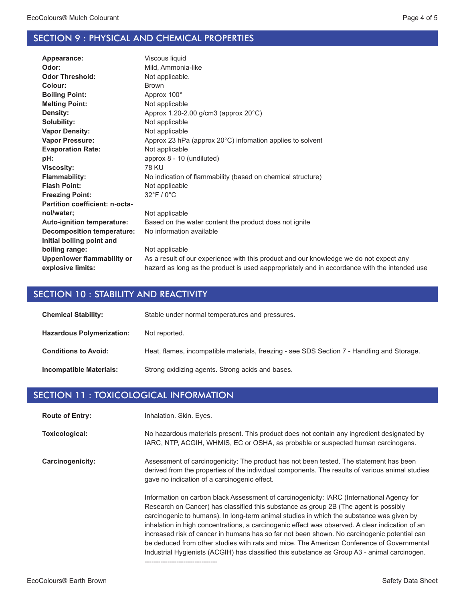#### SECTION 9 : PHYSICAL AND CHEMICAL PROPERTIES

| Appearance:                       | Viscous liquid                                                                               |
|-----------------------------------|----------------------------------------------------------------------------------------------|
| Odor:                             | Mild, Ammonia-like                                                                           |
| <b>Odor Threshold:</b>            | Not applicable.                                                                              |
| Colour:                           | <b>Brown</b>                                                                                 |
| <b>Boiling Point:</b>             | Approx 100°                                                                                  |
| <b>Melting Point:</b>             | Not applicable                                                                               |
| Density:                          | Approx $1.20 - 2.00$ g/cm3 (approx $20^{\circ}$ C)                                           |
| Solubility:                       | Not applicable                                                                               |
| <b>Vapor Density:</b>             | Not applicable                                                                               |
| <b>Vapor Pressure:</b>            | Approx 23 hPa (approx $20^{\circ}$ C) infomation applies to solvent                          |
| <b>Evaporation Rate:</b>          | Not applicable                                                                               |
| pH:                               | approx 8 - 10 (undiluted)                                                                    |
| <b>Viscosity:</b>                 | <b>78 KU</b>                                                                                 |
| <b>Flammability:</b>              | No indication of flammability (based on chemical structure)                                  |
| <b>Flash Point:</b>               | Not applicable                                                                               |
| <b>Freezing Point:</b>            | $32^{\circ}$ F / 0 $^{\circ}$ C                                                              |
| Partition coefficient: n-octa-    |                                                                                              |
| nol/water;                        | Not applicable                                                                               |
| <b>Auto-ignition temperature:</b> | Based on the water content the product does not ignite                                       |
| <b>Decomposition temperature:</b> | No information available                                                                     |
| Initial boiling point and         |                                                                                              |
| boiling range:                    | Not applicable                                                                               |
| Upper/lower flammability or       | As a result of our experience with this product and our knowledge we do not expect any       |
| explosive limits:                 | hazard as long as the product is used aappropriately and in accordance with the intended use |
|                                   |                                                                                              |

#### SECTION 10 : STABILITY AND REACTIVITY

| <b>Chemical Stability:</b>       | Stable under normal temperatures and pressures.                                            |
|----------------------------------|--------------------------------------------------------------------------------------------|
| <b>Hazardous Polymerization:</b> | Not reported.                                                                              |
| <b>Conditions to Avoid:</b>      | Heat, flames, incompatible materials, freezing - see SDS Section 7 - Handling and Storage. |
| <b>Incompatible Materials:</b>   | Strong oxidizing agents. Strong acids and bases.                                           |

#### SECTION 11 : TOXICOLOGICAL INFORMATION

Inhalation. Skin. Eyes. **Route of Entry:**

No hazardous materials present. This product does not contain any ingredient designated by IARC, NTP, ACGIH, WHMIS, EC or OSHA, as probable or suspected human carcinogens. **Toxicological:**

Assessment of carcinogenicity: The product has not been tested. The statement has been derived from the properties of the individual components. The results of various animal studies gave no indication of a carcinogenic effect. **Carcinogenicity:**

--------------------------------

Information on carbon black Assessment of carcinogenicity: IARC (International Agency for Research on Cancer) has classified this substance as group 2B (The agent is possibly carcinogenic to humans). In long-term animal studies in which the substance was given by inhalation in high concentrations, a carcinogenic effect was observed. A clear indication of an increased risk of cancer in humans has so far not been shown. No carcinogenic potential can be deduced from other studies with rats and mice. The American Conference of Governmental Industrial Hygienists (ACGIH) has classified this substance as Group A3 - animal carcinogen.